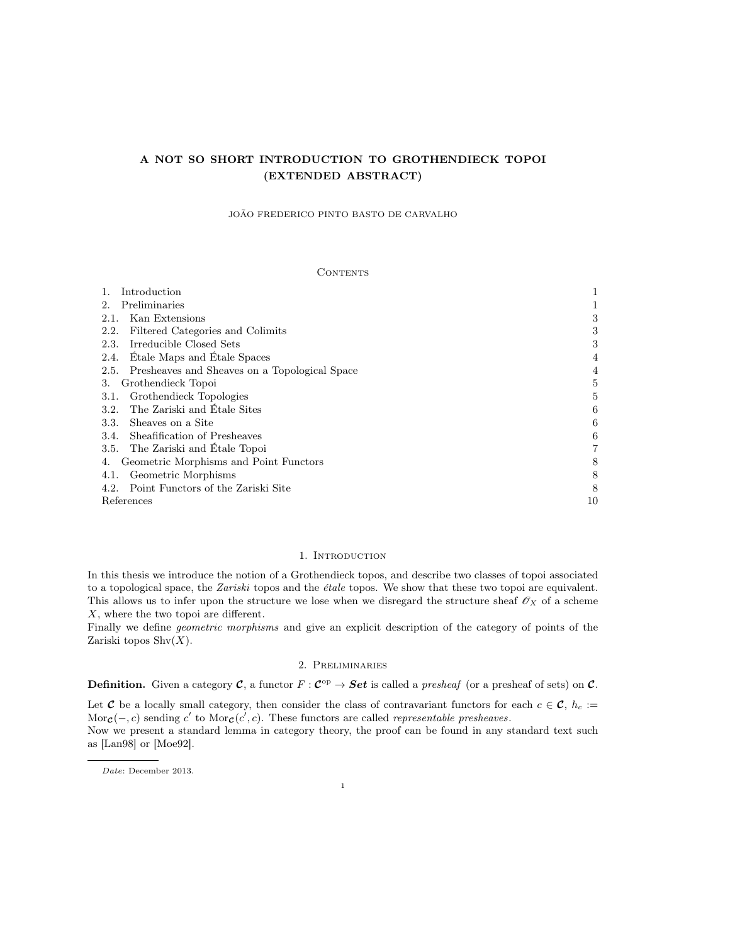# A NOT SO SHORT INTRODUCTION TO GROTHENDIECK TOPOI (EXTENDED ABSTRACT)

JOÃO FREDERICO PINTO BASTO DE CARVALHO

# CONTENTS

| Introduction                                       |    |
|----------------------------------------------------|----|
| Preliminaries                                      |    |
| Kan Extensions<br>2.1.                             | 3  |
| Filtered Categories and Colimits<br>2.2.           | 3  |
| Irreducible Closed Sets<br>2.3.                    | 3  |
| Etale Maps and Etale Spaces<br>2.4.                | 4  |
| 2.5. Presheaves and Sheaves on a Topological Space |    |
| Grothendieck Topoi<br>3.                           |    |
| Grothendieck Topologies<br>3.1.                    | 5  |
| The Zariski and Etale Sites<br>3.2.                | 6  |
| Sheaves on a Site<br>3.3.                          | 6  |
| Sheafification of Presheaves<br>3.4.               | 6  |
| 3.5. The Zariski and Etale Topoi                   |    |
| Geometric Morphisms and Point Functors<br>4.       | 8  |
| Geometric Morphisms<br>4.1.                        | 8  |
| 4.2. Point Functors of the Zariski Site            | 8  |
| References                                         | 10 |

# 1. INTRODUCTION

In this thesis we introduce the notion of a Grothendieck topos, and describe two classes of topoi associated to a topological space, the Zariski topos and the étale topos. We show that these two topoi are equivalent. This allows us to infer upon the structure we lose when we disregard the structure sheaf  $\mathscr{O}_X$  of a scheme X, where the two topoi are different.

Finally we define geometric morphisms and give an explicit description of the category of points of the Zariski topos  $\text{Shv}(X)$ .

# 2. Preliminaries

**Definition.** Given a category  $C$ , a functor  $F: C^{op} \to Set$  is called a *presheaf* (or a presheaf of sets) on C.

Let C be a locally small category, then consider the class of contravariant functors for each  $c \in \mathcal{C}$ ,  $h_c :=$ Mor $c(-, c)$  sending c' to Mor $c(c', c)$ . These functors are called representable presheaves.

Now we present a standard lemma in category theory, the proof can be found in any standard text such as [Lan98] or [Moe92].

Date: December 2013.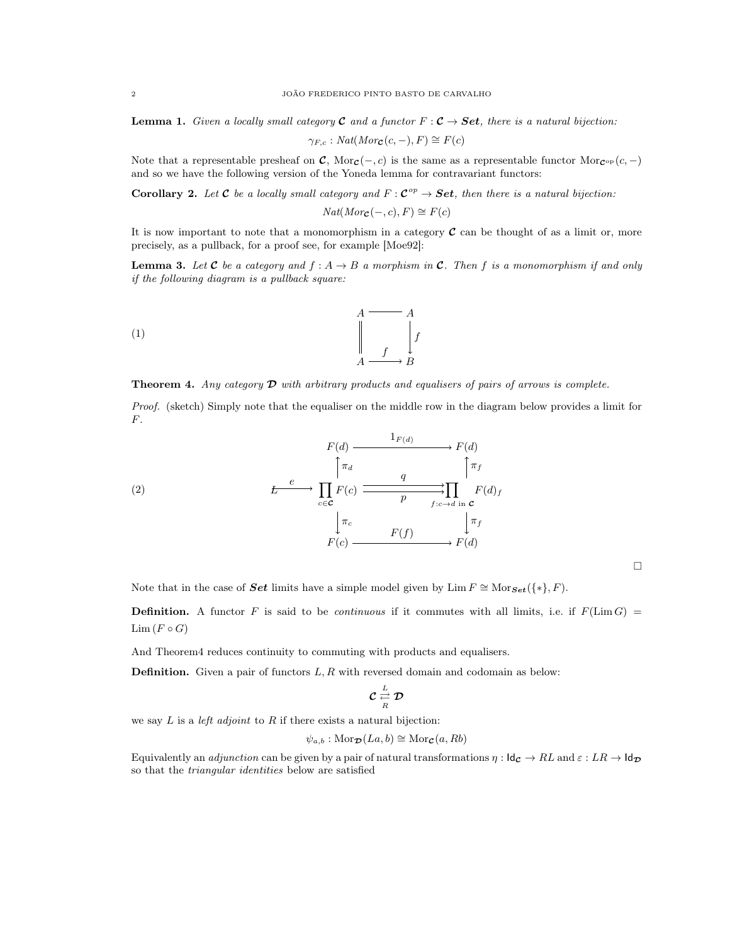**Lemma 1.** Given a locally small category **C** and a functor  $F : \mathcal{C} \to \mathbf{Set}$ , there is a natural bijection:

$$
\gamma_{F,c}: Nat(Morc(c, -), F) \cong F(c)
$$

Note that a representable presheaf on  $\mathcal{C}$ , Mor $\mathcal{C}(-, c)$  is the same as a representable functor Mor $\mathcal{C}^{\text{op}}(c, -)$ and so we have the following version of the Yoneda lemma for contravariant functors:

**Corollary 2.** Let **C** be a locally small category and  $F: \mathbf{C}^{op} \to \mathbf{Set}$ , then there is a natural bijection:

$$
Nat(Morc(-,c), F) \cong F(c)
$$

It is now important to note that a monomorphism in a category  $\mathcal C$  can be thought of as a limit or, more precisely, as a pullback, for a proof see, for example [Moe92]:

**Lemma 3.** Let **C** be a category and  $f : A \to B$  a morphism in **C**. Then f is a monomorphism if and only if the following diagram is a pullback square:

$$
\begin{array}{ccc}\nA & \overline{A} & \\
A & \downarrow & \\
\downarrow & & \downarrow & \\
A & \xrightarrow{f} & B\n\end{array}
$$

**Theorem 4.** Any category  $\mathcal{D}$  with arbitrary products and equalisers of pairs of arrows is complete.

Proof. (sketch) Simply note that the equaliser on the middle row in the diagram below provides a limit for F.

(2)  
\n
$$
F(d) \xrightarrow{\text{I}_{F(d)}} F(d)
$$
\n
$$
E \xrightarrow{e} \prod_{c \in \mathbf{C}} F(c) \xrightarrow{q} \prod_{f:c \to d \text{ in } \mathbf{C}} F(d)_f
$$
\n
$$
\downarrow \pi_c \qquad \qquad F(f) \xrightarrow{F(f)} F(d)
$$
\n
$$
F(c) \xrightarrow{F(f)} F(d)
$$

 $\Box$ 

Note that in the case of Set limits have a simple model given by Lim  $F \cong \text{Mor}_{Set}(\{*,\}, F)$ .

**Definition.** A functor F is said to be continuous if it commutes with all limits, i.e. if  $F(\text{Lim }G)$  =  $\mathrm{Lim}\,(F\circ G)$ 

And Theorem4 reduces continuity to commuting with products and equalisers.

**Definition.** Given a pair of functors  $L, R$  with reversed domain and codomain as below:

$$
\mathcal{C} \stackrel{L}{\underset{R}{\rightleftarrows}} \mathcal{D}
$$

we say  $L$  is a *left adjoint* to  $R$  if there exists a natural bijection:

$$
\psi_{a,b} : \text{Mor}_{\mathcal{D}}(La, b) \cong \text{Mor}_{\mathcal{C}}(a, Rb)
$$

Equivalently an *adjunction* can be given by a pair of natural transformations  $\eta : \mathsf{Id}_{\mathcal{C}} \to RL$  and  $\varepsilon : LR \to \mathsf{Id}_{\mathcal{D}}$ so that the triangular identities below are satisfied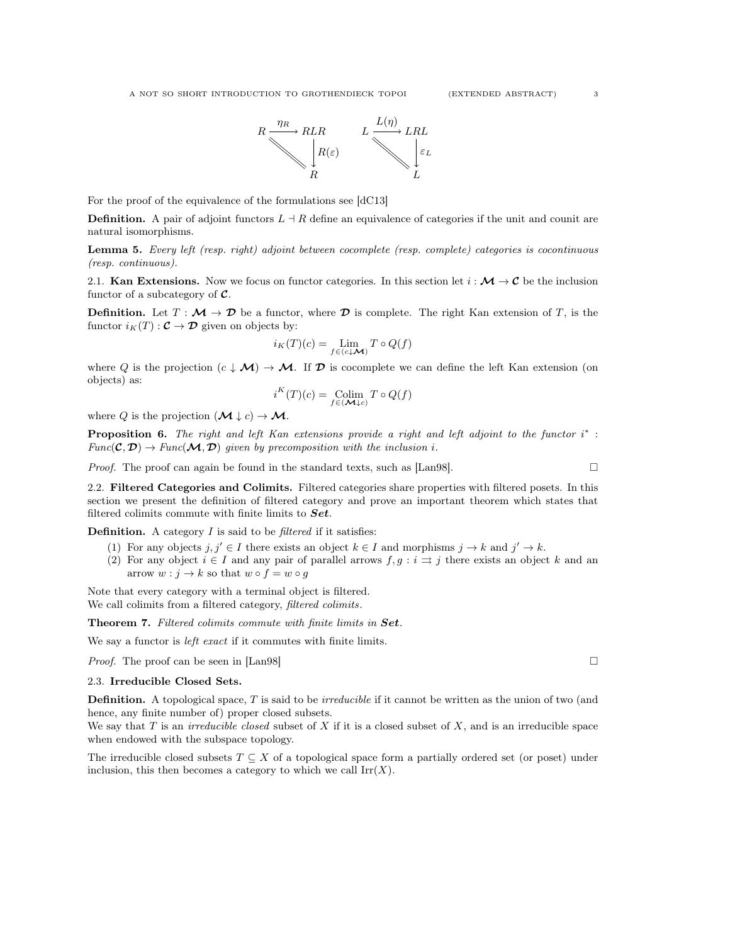

For the proof of the equivalence of the formulations see [dC13]

**Definition.** A pair of adjoint functors  $L \dashv R$  define an equivalence of categories if the unit and counit are natural isomorphisms.

Lemma 5. Every left (resp. right) adjoint between cocomplete (resp. complete) categories is cocontinuous (resp. continuous).

2.1. Kan Extensions. Now we focus on functor categories. In this section let  $i : \mathcal{M} \to \mathcal{C}$  be the inclusion functor of a subcategory of  $\mathcal{C}$ .

**Definition.** Let  $T : \mathcal{M} \to \mathcal{D}$  be a functor, where  $\mathcal{D}$  is complete. The right Kan extension of T, is the functor  $i_K(T) : \mathcal{C} \to \mathcal{D}$  given on objects by:

$$
i_K(T)(c) = \lim_{f \in (c \downarrow \mathcal{M})} T \circ Q(f)
$$

where Q is the projection  $(c \downarrow \mathcal{M}) \rightarrow \mathcal{M}$ . If  $\mathcal{D}$  is cocomplete we can define the left Kan extension (on objects) as:

$$
i^K(T)(c) = \underset{f \in (\mathcal{M} \downarrow c)}{\text{Colim}} T \circ Q(f)
$$

where Q is the projection  $(\mathcal{M} \downarrow c) \rightarrow \mathcal{M}$ .

**Proposition 6.** The right and left Kan extensions provide a right and left adjoint to the functor  $i^*$ :  $Func(\mathcal{C}, \mathcal{D}) \rightarrow Func(\mathcal{M}, \mathcal{D})$  given by precomposition with the inclusion i.

*Proof.* The proof can again be found in the standard texts, such as [Lan98].  $\square$ 

2.2. Filtered Categories and Colimits. Filtered categories share properties with filtered posets. In this section we present the definition of filtered category and prove an important theorem which states that filtered colimits commute with finite limits to  $Set$ .

**Definition.** A category  $I$  is said to be *filtered* if it satisfies:

- (1) For any objects  $j, j' \in I$  there exists an object  $k \in I$  and morphisms  $j \to k$  and  $j' \to k$ .
- (2) For any object  $i \in I$  and any pair of parallel arrows  $f, g : i \implies j$  there exists an object k and an arrow  $w : j \to k$  so that  $w \circ f = w \circ q$

Note that every category with a terminal object is filtered. We call colimits from a filtered category, *filtered colimits*.

Theorem 7. Filtered colimits commute with finite limits in Set.

We say a functor is *left exact* if it commutes with finite limits.

*Proof.* The proof can be seen in [Lan98]  $\Box$ 

### 2.3. Irreducible Closed Sets.

**Definition.** A topological space,  $T$  is said to be *irreducible* if it cannot be written as the union of two (and hence, any finite number of) proper closed subsets.

We say that  $T$  is an *irreducible closed* subset of  $X$  if it is a closed subset of  $X$ , and is an irreducible space when endowed with the subspace topology.

The irreducible closed subsets  $T \subseteq X$  of a topological space form a partially ordered set (or poset) under inclusion, this then becomes a category to which we call  $\text{Irr}(X)$ .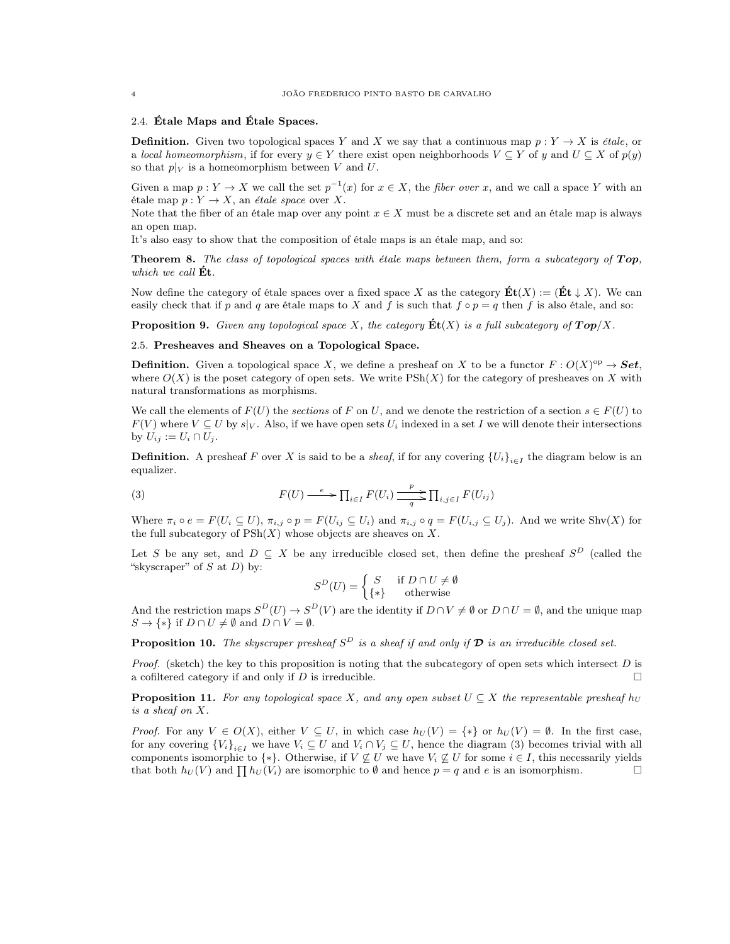# 2.4. Étale Maps and Étale Spaces.

**Definition.** Given two topological spaces Y and X we say that a continuous map  $p: Y \to X$  is *étale*, or a local homeomorphism, if for every  $y \in Y$  there exist open neighborhoods  $V \subseteq Y$  of y and  $U \subseteq X$  of  $p(y)$ so that  $p|_V$  is a homeomorphism between V and U.

Given a map  $p: Y \to X$  we call the set  $p^{-1}(x)$  for  $x \in X$ , the *fiber over* x, and we call a space Y with an étale map  $p: Y \to X$ , an *étale space* over X.

Note that the fiber of an étale map over any point  $x \in X$  must be a discrete set and an étale map is always an open map.

It's also easy to show that the composition of étale maps is an étale map, and so:

**Theorem 8.** The class of topological spaces with étale maps between them, form a subcategory of  $Top$ , which we call  $\mathrm{\dot{E}t}$ .

Now define the category of étale spaces over a fixed space X as the category  $\mathbf{Et}(X) := (\mathbf{Et} \downarrow X)$ . We can easily check that if p and q are étale maps to X and f is such that  $f \circ p = q$  then f is also étale, and so:

**Proposition 9.** Given any topological space X, the category  $\mathbf{Et}(X)$  is a full subcategory of  $\mathbf{Top}/X$ .

# 2.5. Presheaves and Sheaves on a Topological Space.

**Definition.** Given a topological space X, we define a presheaf on X to be a functor  $F: O(X)^\text{op} \to \mathbf{Set}$ , where  $O(X)$  is the poset category of open sets. We write  $P\text{Sh}(X)$  for the category of presheaves on X with natural transformations as morphisms.

We call the elements of  $F(U)$  the sections of F on U, and we denote the restriction of a section  $s \in F(U)$  to  $F(V)$  where  $V \subseteq U$  by  $s|_V$ . Also, if we have open sets  $U_i$  indexed in a set I we will denote their intersections by  $U_{ij} := U_i \cap U_j$ .

**Definition.** A presheaf F over X is said to be a *sheaf*, if for any covering  ${U_i}_{i \in I}$  the diagram below is an equalizer.

(3) 
$$
F(U) \xrightarrow{e} \prod_{i \in I} F(U_i) \xrightarrow{p} \prod_{i,j \in I} F(U_{ij})
$$

Where  $\pi_i \circ e = F(U_i \subseteq U)$ ,  $\pi_{i,j} \circ p = F(U_{ij} \subseteq U_i)$  and  $\pi_{i,j} \circ q = F(U_{i,j} \subseteq U_j)$ . And we write Shv(X) for the full subcategory of  $PSh(X)$  whose objects are sheaves on X.

Let S be any set, and  $D \subseteq X$  be any irreducible closed set, then define the presheaf  $S^D$  (called the "skyscraper" of  $S$  at  $D$ ) by:

$$
S^{D}(U) = \begin{cases} S & \text{if } D \cap U \neq \emptyset \\ \{ * \} & \text{otherwise} \end{cases}
$$

And the restriction maps  $S^D(U) \to S^D(V)$  are the identity if  $D \cap V \neq \emptyset$  or  $D \cap U = \emptyset$ , and the unique map  $S \to \{*\}$  if  $D \cap U \neq \emptyset$  and  $D \cap V = \emptyset$ .

**Proposition 10.** The skyscraper presheaf  $S^D$  is a sheaf if and only if  $\mathcal{D}$  is an irreducible closed set.

*Proof.* (sketch) the key to this proposition is noting that the subcategory of open sets which intersect  $D$  is a cofiltered category if and only if D is irreducible.

**Proposition 11.** For any topological space X, and any open subset  $U \subseteq X$  the representable presheaf h<sub>U</sub> is a sheaf on X.

*Proof.* For any  $V \in O(X)$ , either  $V \subseteq U$ , in which case  $h_U(V) = \{*\}$  or  $h_U(V) = \emptyset$ . In the first case, for any covering  ${V_i}_{i\in I}$  we have  $V_i \subseteq U$  and  $V_i \cap V_j \subseteq U$ , hence the diagram (3) becomes trivial with all components isomorphic to {\*}. Otherwise, if  $V \not\subseteq U$  we have  $V_i \not\subseteq U$  for some  $i \in I$ , this necessarily yields that both  $h_U(V)$  and  $\prod h_U(V_i)$  are isomorphic to  $\emptyset$  and hence  $p = q$  and e is an isomorphism.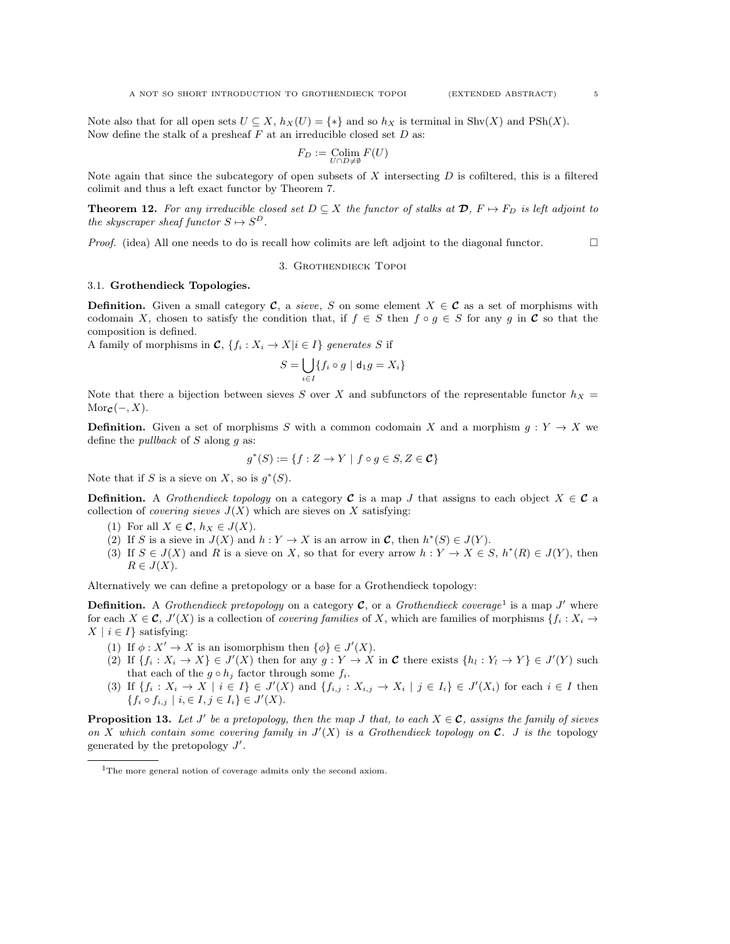$$
F_D := \underset{U \cap D \neq \emptyset}{\text{Colim}} F(U)
$$

Note again that since the subcategory of open subsets of X intersecting  $D$  is cofiltered, this is a filtered colimit and thus a left exact functor by Theorem 7.

**Theorem 12.** For any irreducible closed set  $D \subseteq X$  the functor of stalks at  $\mathcal{D}$ ,  $F \mapsto F_D$  is left adjoint to the skyscraper sheaf functor  $S \mapsto S^D$ .

*Proof.* (idea) All one needs to do is recall how colimits are left adjoint to the diagonal functor.  $\Box$ 

#### 3. Grothendieck Topoi

### 3.1. Grothendieck Topologies.

**Definition.** Given a small category **C**, a sieve, S on some element  $X \in \mathcal{C}$  as a set of morphisms with codomain X, chosen to satisfy the condition that, if  $f \in S$  then  $f \circ g \in S$  for any g in C so that the composition is defined.

A family of morphisms in  $\mathcal{C}, \{f_i : X_i \to X | i \in I\}$  generates S if

$$
S = \bigcup_{i \in I} \{ f_i \circ g \mid \mathbf{d}_1 g = X_i \}
$$

Note that there a bijection between sieves S over X and subfunctors of the representable functor  $h_X$  =  $\text{Mor}_{\mathcal{C}}(-, X)$ .

**Definition.** Given a set of morphisms S with a common codomain X and a morphism  $g: Y \to X$  we define the *pullback* of  $S$  along  $q$  as:

$$
g^*(S) := \{ f : Z \to Y \mid f \circ g \in S, Z \in \mathcal{C} \}
$$

Note that if S is a sieve on X, so is  $g^*(S)$ .

**Definition.** A *Grothendieck topology* on a category **C** is a map J that assigns to each object  $X \in \mathcal{C}$  a collection of *covering sieves*  $J(X)$  which are sieves on X satisfying:

- (1) For all  $X \in \mathcal{C}$ ,  $h_X \in J(X)$ .
- (2) If S is a sieve in  $J(X)$  and  $h: Y \to X$  is an arrow in C, then  $h^*(S) \in J(Y)$ .
- (3) If  $S \in J(X)$  and R is a sieve on X, so that for every arrow  $h: Y \to X \in S$ ,  $h^*(R) \in J(Y)$ , then  $R \in J(X)$ .

Alternatively we can define a pretopology or a base for a Grothendieck topology:

**Definition.** A Grothendieck pretopology on a category  $\mathcal{C}$ , or a Grothendieck coverage<sup>1</sup> is a map J' where for each  $X \in \mathcal{C}$ ,  $J'(X)$  is a collection of *covering families* of X, which are families of morphisms  $\{f_i : X_i \to Y_i\}$  $X \mid i \in I$  satisfying:

- (1) If  $\phi: X' \to X$  is an isomorphism then  $\{\phi\} \in J'(X)$ .
- (2) If  $\{f_i: X_i \to X\} \in J'(X)$  then for any  $g: Y \to X$  in C there exists  $\{h_i: Y_i \to Y\} \in J'(Y)$  such that each of the  $g \circ h_j$  factor through some  $f_i$ .
- (3) If  $\{f_i: X_i \to X \mid i \in I\} \in J'(X)$  and  $\{f_{i,j}: X_{i,j} \to X_i \mid j \in I_i\} \in J'(X_i)$  for each  $i \in I$  then  ${f_i \circ f_{i,j} \mid i, \in I, j \in I_i} \in J'(X)$ .

**Proposition 13.** Let J' be a pretopology, then the map J that, to each  $X \in \mathcal{C}$ , assigns the family of sieves on X which contain some covering family in  $J'(X)$  is a Grothendieck topology on C. J is the topology generated by the pretopology  $J'$ .

<sup>&</sup>lt;sup>1</sup>The more general notion of coverage admits only the second axiom.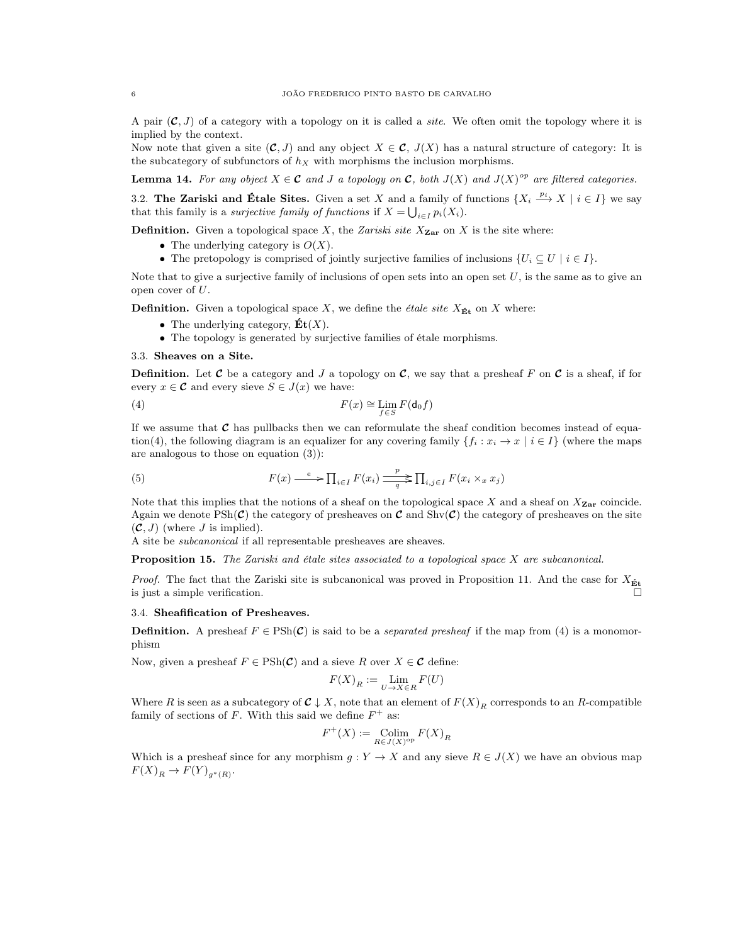A pair  $(C, J)$  of a category with a topology on it is called a *site*. We often omit the topology where it is implied by the context.

Now note that given a site  $(C, J)$  and any object  $X \in C$ ,  $J(X)$  has a natural structure of category: It is the subcategory of subfunctors of  $h_X$  with morphisms the inclusion morphisms.

**Lemma 14.** For any object  $X \in \mathcal{C}$  and J a topology on  $\mathcal{C}$ , both  $J(X)$  and  $J(X)^{op}$  are filtered categories.

3.2. The Zariski and Étale Sites. Given a set X and a family of functions  $\{X_i \stackrel{p_i}{\longrightarrow} X \mid i \in I\}$  we say that this family is a *surjective family of functions* if  $X = \bigcup_{i \in I} p_i(X_i)$ .

**Definition.** Given a topological space X, the Zariski site  $X_{\text{Zar}}$  on X is the site where:

- The underlying category is  $O(X)$ .
- The pretopology is comprised of jointly surjective families of inclusions  $\{U_i \subseteq U \mid i \in I\}$ .

Note that to give a surjective family of inclusions of open sets into an open set  $U$ , is the same as to give an open cover of  $U$ .

**Definition.** Given a topological space X, we define the *étale site*  $X_{\text{Et}}$  on X where:

- The underlying category,  $\mathbf{Et}(X)$ .
- The topology is generated by surjective families of étale morphisms.

# 3.3. Sheaves on a Site.

**Definition.** Let C be a category and J a topology on C, we say that a presheaf F on C is a sheaf, if for every  $x \in \mathcal{C}$  and every sieve  $S \in J(x)$  we have:

(4) 
$$
F(x) \cong \lim_{f \in S} F(\mathsf{d}_0 f)
$$

If we assume that  $\mathcal C$  has pullbacks then we can reformulate the sheaf condition becomes instead of equation(4), the following diagram is an equalizer for any covering family  $\{f_i : x_i \to x \mid i \in I\}$  (where the maps are analogous to those on equation (3)):

(5) 
$$
F(x) \xrightarrow{e} \prod_{i \in I} F(x_i) \xrightarrow{p} \prod_{i,j \in I} F(x_i \times_x x_j)
$$

Note that this implies that the notions of a sheaf on the topological space X and a sheaf on  $X_{\text{Zar}}$  coincide. Again we denote  $\text{PSh}(\mathcal{C})$  the category of presheaves on  $\mathcal C$  and  $\text{Shv}(\mathcal{C})$  the category of presheaves on the site  $(C, J)$  (where J is implied).

A site be subcanonical if all representable presheaves are sheaves.

**Proposition 15.** The Zariski and étale sites associated to a topological space X are subcanonical.

*Proof.* The fact that the Zariski site is subcanonical was proved in Proposition 11. And the case for  $X_{\text{Et}}$ is just a simple verification.

# 3.4. Sheafification of Presheaves.

**Definition.** A presheaf  $F \in \text{PSh}(\mathcal{C})$  is said to be a *separated presheaf* if the map from (4) is a monomorphism

Now, given a presheaf  $F \in \mathrm{PSh}(\mathcal{C})$  and a sieve R over  $X \in \mathcal{C}$  define:

$$
F(X)_R := \lim_{U \to X \in R} F(U)
$$

Where R is seen as a subcategory of  $C \downarrow X$ , note that an element of  $F(X)<sub>R</sub>$  corresponds to an R-compatible family of sections of F. With this said we define  $F^+$  as:

$$
F^+(X) := \underset{R \in J(X)^{\rm op}}{\rm Colim} F(X)_R
$$

Which is a presheaf since for any morphism  $g: Y \to X$  and any sieve  $R \in J(X)$  we have an obvious map  $F(X)_R \to F(Y)_{g^*(R)}.$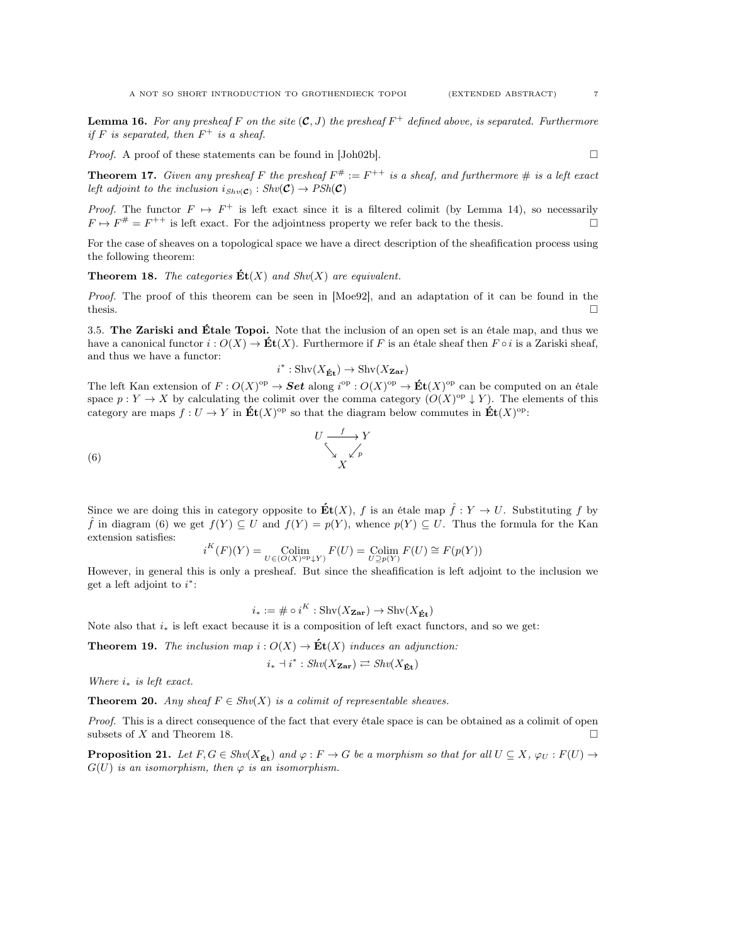**Lemma 16.** For any presheaf F on the site  $(C, J)$  the presheaf  $F^+$  defined above, is separated. Furthermore if F is separated, then  $F^+$  is a sheaf.

*Proof.* A proof of these statements can be found in  $[John02b]$ .

**Theorem 17.** Given any presheaf F the presheaf  $F^* := F^{++}$  is a sheaf, and furthermore  $\#$  is a left exact left adjoint to the inclusion  $i_{Shv(\mathcal{C})}: Shv(\mathcal{C}) \rightarrow PSh(\mathcal{C})$ 

*Proof.* The functor  $F \mapsto F^+$  is left exact since it is a filtered colimit (by Lemma 14), so necessarily  $F \mapsto F^{\#} = F^{++}$  is left exact. For the adjointness property we refer back to the thesis.

For the case of sheaves on a topological space we have a direct description of the sheafification process using the following theorem:

**Theorem 18.** The categories  $\mathbf{Et}(X)$  and  $\text{Shv}(X)$  are equivalent.

i

Proof. The proof of this theorem can be seen in [Moe92], and an adaptation of it can be found in the thesis.  $\square$ 

3.5. The Zariski and Étale Topoi. Note that the inclusion of an open set is an étale map, and thus we have a canonical functor  $i: O(X) \to \mathbf{Et}(X)$ . Furthermore if F is an étale sheaf then  $F \circ i$  is a Zariski sheaf, and thus we have a functor:

$$
^*:\operatorname{Shv}(X_{\mathbf{\acute{E}t}})\rightarrow\operatorname{Shv}(X_{\mathbf{Zar}})
$$

The left Kan extension of  $F: O(X)^\text{op} \to \mathbf{Set}$  along  $i^\text{op}: O(X)^\text{op} \to \mathbf{Et}(X)^\text{op}$  can be computed on an étale space  $p: Y \to X$  by calculating the colimit over the comma category  $(O(X)^{op} \downarrow Y)$ . The elements of this category are maps  $f: U \to Y$  in  $\mathbf{Et}(X)^\text{op}$  so that the diagram below commutes in  $\mathbf{Et}(X)^\text{op}$ :

$$
U \xrightarrow{\quad f \quad \searrow} Y
$$
\n
$$
\xrightarrow{\quad \searrow \quad \searrow} Y
$$
\n
$$
X
$$

Since we are doing this in category opposite to  $\mathbf{E}t(X)$ , f is an étale map  $\hat{f}: Y \to U$ . Substituting f by f in diagram (6) we get  $f(Y) \subseteq U$  and  $f(Y) = p(Y)$ , whence  $p(Y) \subseteq U$ . Thus the formula for the Kan extension satisfies:

$$
i^{K}(F)(Y) = \underset{U \in (O(X)^{\text{op}} \downarrow Y)}{\text{Colim}} F(U) = \underset{U \supseteq p(Y)}{\text{Colim}} F(U) \cong F(p(Y))
$$

However, in general this is only a presheaf. But since the sheafification is left adjoint to the inclusion we get a left adjoint to  $i^*$ :

$$
i_* := \# \circ i^K : \operatorname{Shv}(X_{\mathbf{Zar}}) \to \operatorname{Shv}(X_{\mathbf{\acute{E}t}})
$$

Note also that  $i_*$  is left exact because it is a composition of left exact functors, and so we get:

**Theorem 19.** The inclusion map  $i: O(X) \to \mathbf{Et}(X)$  induces an adjunction:

$$
i_* \dashv i^* : \mathit{Shv}(X_{\mathbf{Zar}}) \rightleftarrows \mathit{Shv}(X_{\mathbf{Ét}})
$$

Where  $i_*$  is left exact.

**Theorem 20.** Any sheaf  $F \in Shv(X)$  is a colimit of representable sheaves.

Proof. This is a direct consequence of the fact that every étale space is can be obtained as a colimit of open subsets of X and Theorem 18.  $\Box$ 

**Proposition 21.** Let  $F, G \in Shv(X_{\mathbf{E}t})$  and  $\varphi : F \to G$  be a morphism so that for all  $U \subseteq X$ ,  $\varphi_U : F(U) \to$  $G(U)$  is an isomorphism, then  $\varphi$  is an isomorphism.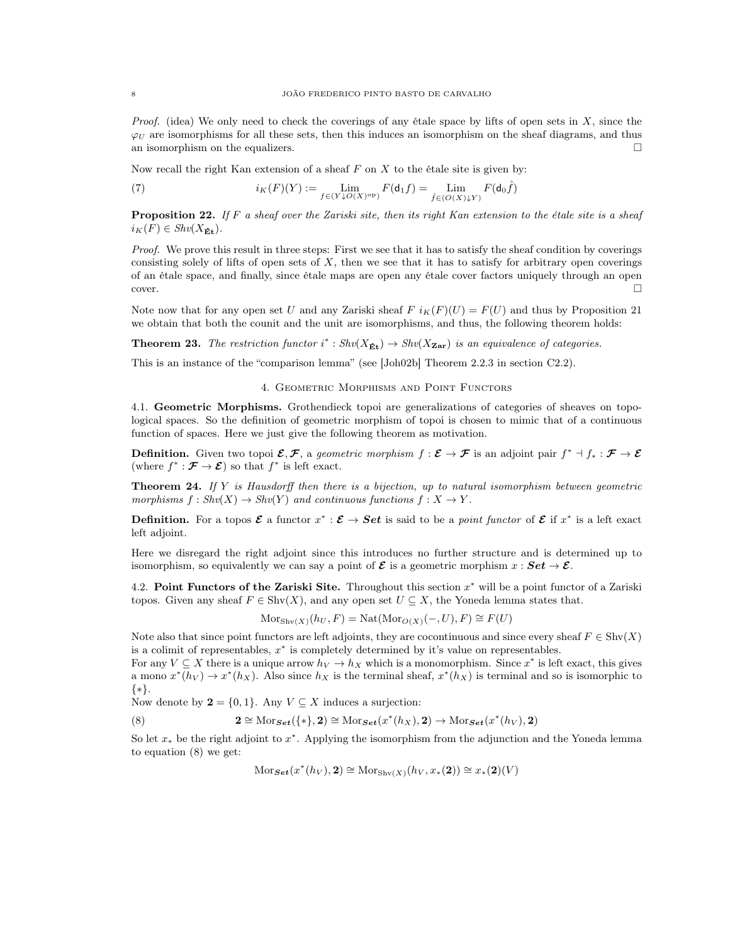*Proof.* (idea) We only need to check the coverings of any étale space by lifts of open sets in  $X$ , since the  $\varphi_U$  are isomorphisms for all these sets, then this induces an isomorphism on the sheaf diagrams, and thus an isomorphism on the equalizers.  $\Box$ 

Now recall the right Kan extension of a sheaf  $F$  on  $X$  to the étale site is given by:

(7) 
$$
i_K(F)(Y) := \lim_{f \in (Y \downarrow O(X)^\text{op})} F(\mathsf{d}_1 f) = \lim_{\hat{f} \in (O(X) \downarrow Y)} F(\mathsf{d}_0 \hat{f})
$$

**Proposition 22.** If F a sheaf over the Zariski site, then its right Kan extension to the étale site is a sheaf  $i<sub>K</sub>(F) \in Shv(X_{\mathbf{\acute{E}t}}).$ 

Proof. We prove this result in three steps: First we see that it has to satisfy the sheaf condition by coverings consisting solely of lifts of open sets of  $X$ , then we see that it has to satisfy for arbitrary open coverings of an étale space, and finally, since étale maps are open any étale cover factors uniquely through an open  $\Box$ cover.

Note now that for any open set U and any Zariski sheaf F  $i_K(F)(U) = F(U)$  and thus by Proposition 21 we obtain that both the counit and the unit are isomorphisms, and thus, the following theorem holds:

**Theorem 23.** The restriction functor  $i^* : Shv(X_{\text{fit}}) \to Shv(X_{\text{Zar}})$  is an equivalence of categories.

This is an instance of the "comparison lemma" (see [Joh02b] Theorem 2.2.3 in section C2.2).

# 4. Geometric Morphisms and Point Functors

4.1. Geometric Morphisms. Grothendieck topoi are generalizations of categories of sheaves on topological spaces. So the definition of geometric morphism of topoi is chosen to mimic that of a continuous function of spaces. Here we just give the following theorem as motivation.

**Definition.** Given two topoi  $\mathcal{E}, \mathcal{F}$ , a geometric morphism  $f : \mathcal{E} \to \mathcal{F}$  is an adjoint pair  $f^* \dashv f_* : \mathcal{F} \to \mathcal{E}$ (where  $f^* : \mathcal{F} \to \mathcal{E}$ ) so that  $f^*$  is left exact.

**Theorem 24.** If Y is Hausdorff then there is a bijection, up to natural isomorphism between geometric morphisms  $f : Shv(X) \to Shv(Y)$  and continuous functions  $f : X \to Y$ .

**Definition.** For a topos  $\mathcal{E}$  a functor  $x^* : \mathcal{E} \to Set$  is said to be a *point functor* of  $\mathcal{E}$  if  $x^*$  is a left exact left adjoint.

Here we disregard the right adjoint since this introduces no further structure and is determined up to isomorphism, so equivalently we can say a point of  $\mathcal E$  is a geometric morphism  $x : Set \to \mathcal E$ .

4.2. Point Functors of the Zariski Site. Throughout this section  $x^*$  will be a point functor of a Zariski topos. Given any sheaf  $F \in Shv(X)$ , and any open set  $U \subseteq X$ , the Yoneda lemma states that.

 $Mors_{h\nu(X)}(h_U, F) = Nat(Mor_{O(X)}(-, U), F) \cong F(U)$ 

Note also that since point functors are left adjoints, they are cocontinuous and since every sheaf  $F \in Shv(X)$ is a colimit of representables,  $x^*$  is completely determined by it's value on representables.

For any  $V \subseteq X$  there is a unique arrow  $h_V \to h_X$  which is a monomorphism. Since  $x^*$  is left exact, this gives a mono  $x^*(h_V) \to x^*(h_X)$ . Also since  $h_X$  is the terminal sheaf,  $x^*(h_X)$  is terminal and so is isomorphic to {∗}.

Now denote by  $2 = \{0, 1\}$ . Any  $V \subseteq X$  induces a surjection:

(8) 
$$
\mathbf{2} \cong \mathrm{Mor}_{\mathbf{Set}}(\{\ast\}, \mathbf{2}) \cong \mathrm{Mor}_{\mathbf{Set}}(x^*(h_X), \mathbf{2}) \to \mathrm{Mor}_{\mathbf{Set}}(x^*(h_V), \mathbf{2})
$$

So let  $x_*$  be the right adjoint to  $x^*$ . Applying the isomorphism from the adjunction and the Yoneda lemma to equation (8) we get:

$$
\mathrm{Mor}_{\mathbf{Set}}(x^*(h_V), 2) \cong \mathrm{Mor}_{\mathrm{Shv}(X)}(h_V, x_*(2)) \cong x_*(2)(V)
$$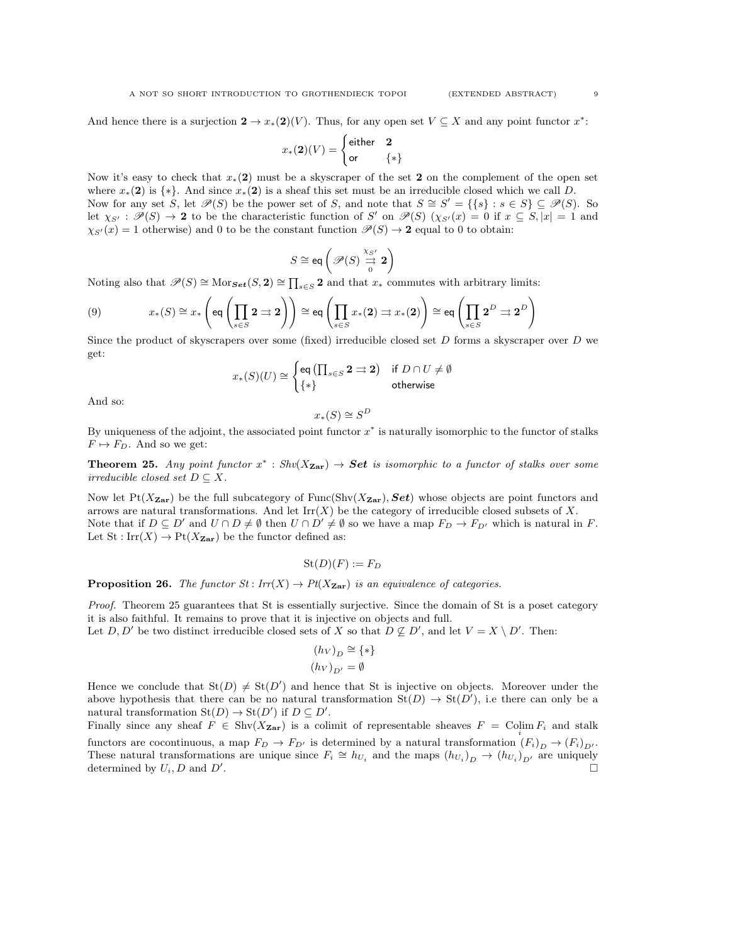And hence there is a surjection  $2 \to x_*(2)(V)$ . Thus, for any open set  $V \subseteq X$  and any point functor  $x^*$ :

$$
x_*(\mathbf{2})(V)=\begin{cases}\text{either}&\mathbf{2}\\ \text{or}&\{*\}\end{cases}
$$

Now it's easy to check that  $x*(2)$  must be a skyscraper of the set 2 on the complement of the open set where  $x_*(2)$  is  $\{*\}$ . And since  $x_*(2)$  is a sheaf this set must be an irreducible closed which we call D. Now for any set S, let  $\mathscr{P}(S)$  be the power set of S, and note that  $S \cong S' = \{\{s\} : s \in S\} \subseteq \mathscr{P}(S)$ . So let  $\chi_{S'} : \mathscr{P}(S) \to \mathbf{2}$  to be the characteristic function of S' on  $\mathscr{P}(S)$   $(\chi_{S'}(x) = 0$  if  $x \subseteq S, |x| = 1$  and  $\chi_{S'}(x) = 1$  otherwise) and 0 to be the constant function  $\mathcal{P}(S) \to 2$  equal to 0 to obtain:

$$
S \cong \text{eq}\left(\mathscr{P}(S) \stackrel{\chi_{S'}}{\underset{0}{\rightrightarrows}} \mathbf{2}\right)
$$

Noting also that  $\mathscr{P}(S) \cong \text{Mor}_{\mathcal{S}et}(S, 2) \cong \prod_{s \in S} 2$  and that  $x_*$  commutes with arbitrary limits:

(9) 
$$
x_*(S) \cong x_* \left( \text{eq} \left( \prod_{s \in S} 2 \rightrightarrows 2 \right) \right) \cong \text{eq} \left( \prod_{s \in S} x_*(2) \rightrightarrows x_*(2) \right) \cong \text{eq} \left( \prod_{s \in S} 2^D \rightrightarrows 2^D \right)
$$

Since the product of skyscrapers over some (fixed) irreducible closed set  $D$  forms a skyscraper over  $D$  we get:

$$
x_*(S)(U) \cong \begin{cases} \operatorname{\sf eq}\left(\prod_{s \in S} \textbf{2} \rightrightarrows \textbf{2} \right) & \text{if } D \cap U \neq \emptyset \\ \{ * \} & \text{otherwise} \end{cases}
$$

And so:

$$
x_*(S) \cong S^D
$$

By uniqueness of the adjoint, the associated point functor  $x^*$  is naturally isomorphic to the functor of stalks  $F \mapsto F_D$ . And so we get:

**Theorem 25.** Any point functor  $x^*$ :  $Shv(X_{\text{Zar}}) \rightarrow \text{Set}$  is isomorphic to a functor of stalks over some irreducible closed set  $D \subseteq X$ .

Now let  $Pt(X_{\text{Zar}})$  be the full subcategory of Func(Shv $(X_{\text{Zar}})$ , Set) whose objects are point functors and arrows are natural transformations. And let  $\text{Irr}(X)$  be the category of irreducible closed subsets of X. Note that if  $D \subseteq D'$  and  $U \cap D \neq \emptyset$  then  $U \cap D' \neq \emptyset$  so we have a map  $F_D \to F_{D'}$  which is natural in F. Let  $St: Irr(X) \to Pt(X_{\text{Zar}})$  be the functor defined as:

$$
\mathrm{St}(D)(F):=F_D
$$

**Proposition 26.** The functor  $St : Irr(X) \to Pt(X_{\text{Zar}})$  is an equivalence of categories.

Proof. Theorem 25 guarantees that St is essentially surjective. Since the domain of St is a poset category it is also faithful. It remains to prove that it is injective on objects and full.

Let  $D, D'$  be two distinct irreducible closed sets of X so that  $D \nsubseteq D'$ , and let  $V = X \setminus D'$ . Then:

$$
\begin{aligned} (h_V)_D &\cong \{*\} \\ (h_V)_{D'} &= \emptyset \end{aligned}
$$

Hence we conclude that  $St(D) \neq St(D')$  and hence that St is injective on objects. Moreover under the above hypothesis that there can be no natural transformation  $St(D) \to St(D')$ , i.e there can only be a natural transformation  $\text{St}(D) \to \text{St}(D')$  if  $D \subseteq D'$ .

Finally since any sheaf  $F \in Shv(X_{\mathbf{Zar}})$  is a colimit of representable sheaves  $F = \text{Colim } F_i$  and stalk functors are cocontinuous, a map  $F_D \to F_{D'}$  is determined by a natural transformation  $(F_i)_D \to (F_i)_D$ . These natural transformations are unique since  $F_i \cong h_{U_i}$  and the maps  $(h_{U_i})_{D} \to (h_{U_i})_{D'}$  are uniquely determined by  $U_i, D$  and  $D'$ .